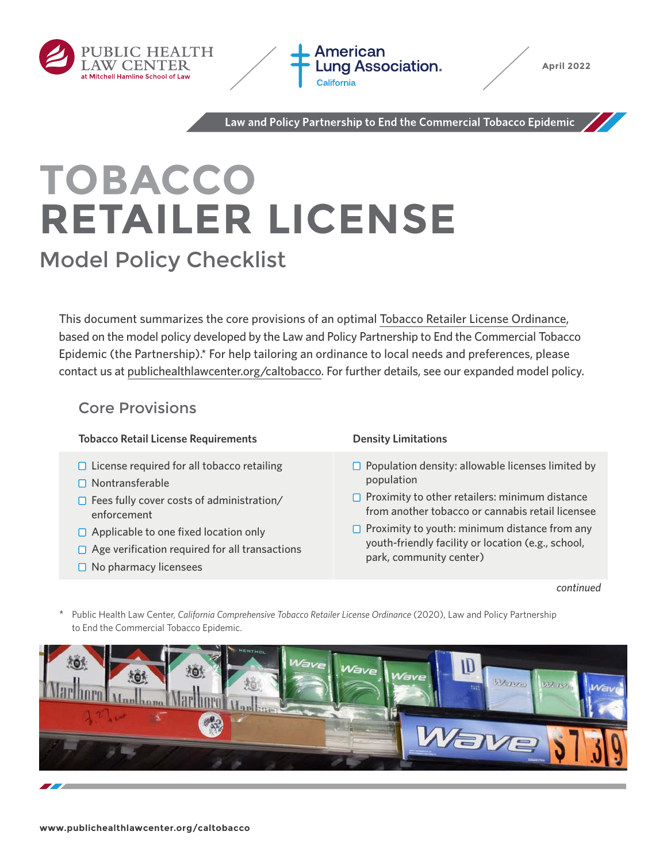



Law and Policy Partnership to End the Commercial Tobacco Epidemic

# **TOBACCO RETAILER LICENSE** Model Policy Checklist

This document summarizes the core provisions of an optimal [Tobacco Retailer License Ordinance,](https://www.publichealthlawcenter.org/sites/default/files/resources/Comp-Tobacco-Retailer-License.pdf) based on the model policy developed by the Law and Policy Partnership to End the Commercial Tobacco Epidemic (the Partnership).\* For help tailoring an ordinance to local needs and preferences, please contact us at [publichealthlawcenter.org/caltobacco.](https://www.publichealthlawcenter.org/topics/commercial-tobacco-control/california-commercial-tobacco-control) For further details, see our expanded model policy.

# Core Provisions

# **Tobacco Retail License Requirements Density Limitations**

- $\Box$  License required for all tobacco retailing
- $\Box$  Nontransferable
- $\Box$  Fees fully cover costs of administration/ enforcement
- □ Applicable to one fixed location only
- $\Box$  Age verification required for all transactions
- $\Box$  No pharmacy licensees

- $\Box$  Population density: allowable licenses limited by population
- $\Box$  Proximity to other retailers: minimum distance from another tobacco or cannabis retail licensee
- $\Box$  Proximity to youth: minimum distance from any youth-friendly facility or location (e.g., school, park, community center)

### *continued*

\* Public Health Law Center, *California Comprehensive Tobacco Retailer License Ordinance* (2020), Law and Policy Partnership to End the Commercial Tobacco Epidemic.